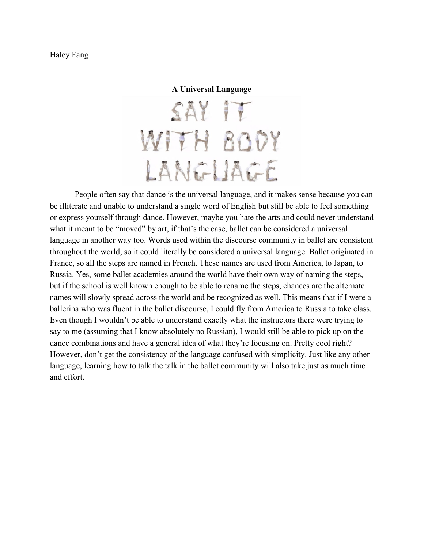## Haley Fang

## **A Universal Language**

SAY IT WITH BODY LANGUAGE

People often say that dance is the universal language, and it makes sense because you can be illiterate and unable to understand a single word of English but still be able to feel something or express yourself through dance. However, maybe you hate the arts and could never understand what it meant to be "moved" by art, if that's the case, ballet can be considered a universal language in another way too. Words used within the discourse community in ballet are consistent throughout the world, so it could literally be considered a universal language. Ballet originated in France, so all the steps are named in French. These names are used from America, to Japan, to Russia. Yes, some ballet academies around the world have their own way of naming the steps, but if the school is well known enough to be able to rename the steps, chances are the alternate names will slowly spread across the world and be recognized as well. This means that if I were a ballerina who was fluent in the ballet discourse, I could fly from America to Russia to take class. Even though I wouldn't be able to understand exactly what the instructors there were trying to say to me (assuming that I know absolutely no Russian), I would still be able to pick up on the dance combinations and have a general idea of what they're focusing on. Pretty cool right? However, don't get the consistency of the language confused with simplicity. Just like any other language, learning how to talk the talk in the ballet community will also take just as much time and effort.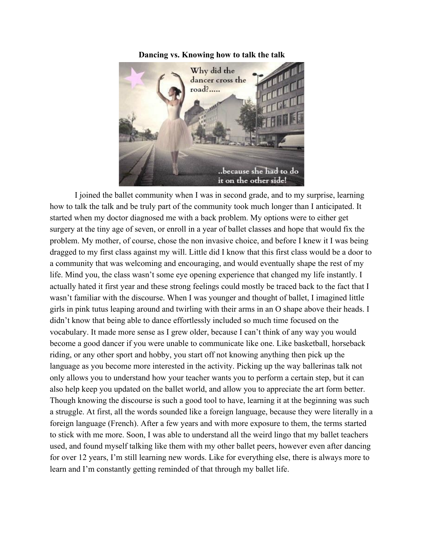

**Dancing vs. Knowing how to talk the talk**

I joined the ballet community when I was in second grade, and to my surprise, learning how to talk the talk and be truly part of the community took much longer than I anticipated. It started when my doctor diagnosed me with a back problem. My options were to either get surgery at the tiny age of seven, or enroll in a year of ballet classes and hope that would fix the problem. My mother, of course, chose the non invasive choice, and before I knew it I was being dragged to my first class against my will. Little did I know that this first class would be a door to a community that was welcoming and encouraging, and would eventually shape the rest of my life. Mind you, the class wasn't some eye opening experience that changed my life instantly. I actually hated it first year and these strong feelings could mostly be traced back to the fact that I wasn't familiar with the discourse. When I was younger and thought of ballet, I imagined little girls in pink tutus leaping around and twirling with their arms in an O shape above their heads. I didn't know that being able to dance effortlessly included so much time focused on the vocabulary. It made more sense as I grew older, because I can't think of any way you would become a good dancer if you were unable to communicate like one. Like basketball, horseback riding, or any other sport and hobby, you start off not knowing anything then pick up the language as you become more interested in the activity. Picking up the way ballerinas talk not only allows you to understand how your teacher wants you to perform a certain step, but it can also help keep you updated on the ballet world, and allow you to appreciate the art form better. Though knowing the discourse is such a good tool to have, learning it at the beginning was such a struggle. At first, all the words sounded like a foreign language, because they were literally in a foreign language (French). After a few years and with more exposure to them, the terms started to stick with me more. Soon, I was able to understand all the weird lingo that my ballet teachers used, and found myself talking like them with my other ballet peers, however even after dancing for over 12 years, I'm still learning new words. Like for everything else, there is always more to learn and I'm constantly getting reminded of that through my ballet life.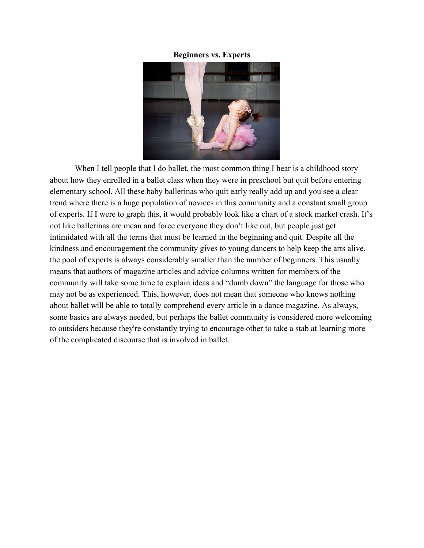## **Beginners vs. Experts**



When I tell people that I do ballet, the most common thing I hear is a childhood story about how they enrolled in a ballet class when they were in preschool but quit before entering elementary school. All these baby ballerinas who quit early really add up and you see a clear trend where there is a huge population of novices in this community and a constant small group of experts. If I were to graph this, it would probably look like a chart of a stock market crash. It's not like ballerinas are mean and force everyone they don't like out, but people just get intimidated with all the terms that must be learned in the beginning and quit. Despite all the kindness and encouragement the community gives to young dancers to help keep the arts alive, the pool of experts is always considerably smaller than the number of beginners. This usually means that authors of magazine articles and advice columns written for members of the community will take some time to explain ideas and "dumb down" the language for those who may not be as experienced. This, however, does not mean that someone who knows nothing about ballet will be able to totally comprehend every article in a dance magazine. As always, some basics are always needed, but perhaps the ballet community is considered more welcoming to outsiders because they're constantly trying to encourage other to take a stab at learning more of the complicated discourse that is involved in ballet.